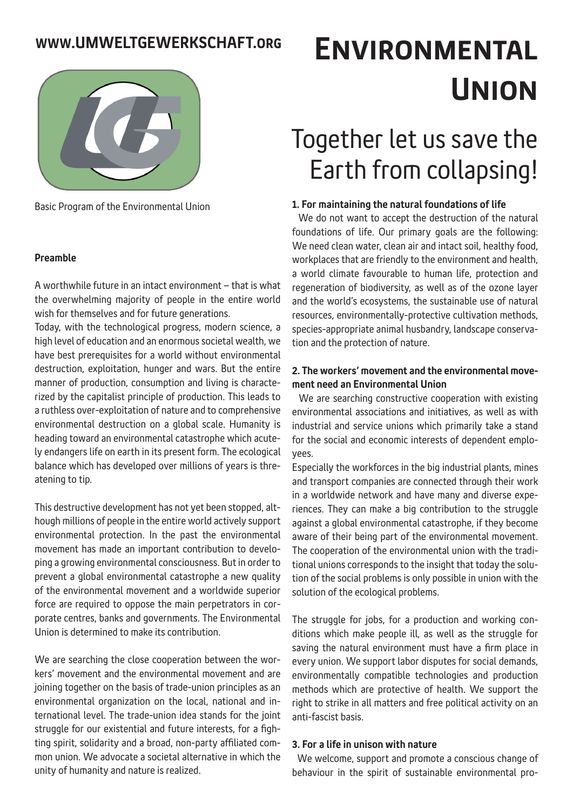### **www.umweltgewerkschaft.org**



#### **Preamble**

A worthwhile future in an intact environment – that is what the overwhelming majority of people in the entire world wish for themselves and for future generations.

Today, with the technological progress, modern science, a high level of education and an enormous societal wealth, we have best prerequisites for a world without environmental destruction, exploitation, hunger and wars. But the entire manner of production, consumption and living is characterized by the capitalist principle of production. This leads to a ruthless over-exploitation of nature and to comprehensive environmental destruction on a global scale. Humanity is heading toward an environmental catastrophe which acutely endangers life on earth in its present form. The ecological balance which has developed over millions of years is threatening to tip.

This destructive development has not yet been stopped, although millions of people in the entire world actively support environmental protection. In the past the environmental movement has made an important contribution to developing a growing environmental consciousness. But in order to prevent a global environmental catastrophe a new quality of the environmental movement and a worldwide superior force are required to oppose the main perpetrators in corporate centres, banks and governments. The Environmental Union is determined to make its contribution.

We are searching the close cooperation between the workers' movement and the environmental movement and are joining together on the basis of trade-union principles as an environmental organization on the local, national and international level. The trade-union idea stands for the joint struggle for our existential and future interests, for a fighting spirit, solidarity and a broad, non-party affiliated common union. We advocate a societal alternative in which the unity of humanity and nature is realized.

# **Environmental Union**

## Together let us save the Earth from collapsing!

#### Basic Program of the Environmental Union **1. For maintaining the natural foundations of life**

 We do not want to accept the destruction of the natural foundations of life. Our primary goals are the following: We need clean water, clean air and intact soil, healthy food, workplaces that are friendly to the environment and health, a world climate favourable to human life, protection and regeneration of biodiversity, as well as of the ozone layer and the world's ecosystems, the sustainable use of natural resources, environmentally-protective cultivation methods, species-appropriate animal husbandry, landscape conservation and the protection of nature.

#### **2. The workers' movement and the environmental movement need an Environmental Union**

 We are searching constructive cooperation with existing environmental associations and initiatives, as well as with industrial and service unions which primarily take a stand for the social and economic interests of dependent employees.

Especially the workforces in the big industrial plants, mines and transport companies are connected through their work in a worldwide network and have many and diverse experiences. They can make a big contribution to the struggle against a global environmental catastrophe, if they become aware of their being part of the environmental movement. The cooperation of the environmental union with the traditional unions corresponds to the insight that today the solution of the social problems is only possible in union with the solution of the ecological problems.

The struggle for jobs, for a production and working conditions which make people ill, as well as the struggle for saving the natural environment must have a firm place in every union. We support labor disputes for social demands, environmentally compatible technologies and production methods which are protective of health. We support the right to strike in all matters and free political activity on an anti-fascist basis.

#### **3. For a life in unison with nature**

 We welcome, support and promote a conscious change of behaviour in the spirit of sustainable environmental pro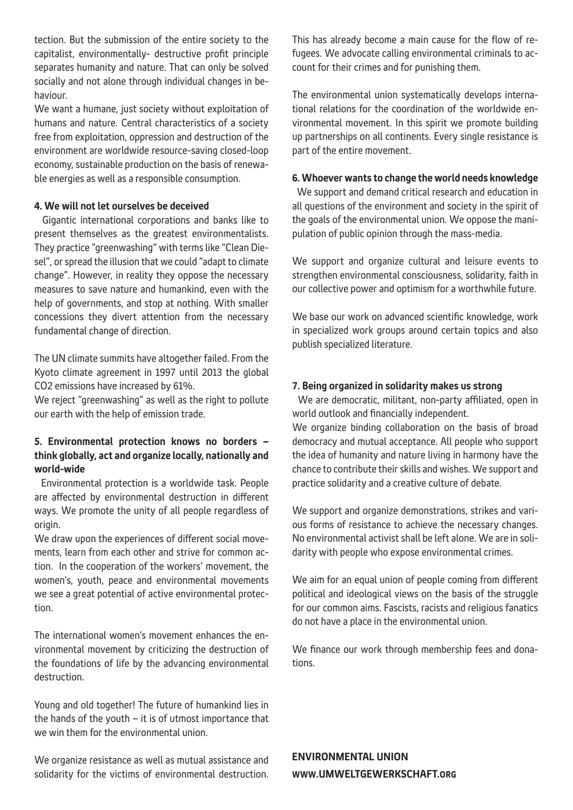tection. But the submission of the entire society to the capitalist, environmentally- destructive profit principle separates humanity and nature. That can only be solved socially and not alone through individual changes in behaviour.

We want a humane, just society without exploitation of humans and nature. Central characteristics of a society free from exploitation, oppression and destruction of the environment are worldwide resource-saving closed-loop economy, sustainable production on the basis of renewable energies as well as a responsible consumption.

#### **4. We will not let ourselves be deceived**

 Gigantic international corporations and banks like to present themselves as the greatest environmentalists. They practice "greenwashing" with terms like "Clean Diesel", or spread the illusion that we could "adapt to climate change". However, in reality they oppose the necessary measures to save nature and humankind, even with the help of governments, and stop at nothing. With smaller concessions they divert attention from the necessary fundamental change of direction.

The UN climate summits have altogether failed. From the Kyoto climate agreement in 1997 until 2013 the global CO2 emissions have increased by 61%.

We reject "greenwashing" as well as the right to pollute our earth with the help of emission trade.

#### **5. Environmental protection knows no borders – think globally, act and organize locally, nationally and world-wide**

 Environmental protection is a worldwide task. People are affected by environmental destruction in different ways. We promote the unity of all people regardless of origin.

We draw upon the experiences of different social movements, learn from each other and strive for common action. In the cooperation of the workers' movement, the women's, youth, peace and environmental movements we see a great potential of active environmental protection.

The international women's movement enhances the environmental movement by criticizing the destruction of the foundations of life by the advancing environmental destruction.

Young and old together! The future of humankind lies in the hands of the youth – it is of utmost importance that we win them for the environmental union.

We organize resistance as well as mutual assistance and solidarity for the victims of environmental destruction. This has already become a main cause for the flow of refugees. We advocate calling environmental criminals to account for their crimes and for punishing them.

The environmental union systematically develops international relations for the coordination of the worldwide environmental movement. In this spirit we promote building up partnerships on all continents. Every single resistance is part of the entire movement.

#### **6. Whoever wants to change the world needs knowledge**

 We support and demand critical research and education in all questions of the environment and society in the spirit of the goals of the environmental union. We oppose the manipulation of public opinion through the mass-media.

We support and organize cultural and leisure events to strengthen environmental consciousness, solidarity, faith in our collective power and optimism for a worthwhile future.

We base our work on advanced scientific knowledge, work in specialized work groups around certain topics and also publish specialized literature.

#### **7. Being organized in solidarity makes us strong**

 We are democratic, militant, non-party affiliated, open in world outlook and financially independent.

We organize binding collaboration on the basis of broad democracy and mutual acceptance. All people who support the idea of humanity and nature living in harmony have the chance to contribute their skills and wishes. We support and practice solidarity and a creative culture of debate.

We support and organize demonstrations, strikes and various forms of resistance to achieve the necessary changes. No environmental activist shall be left alone. We are in solidarity with people who expose environmental crimes.

We aim for an equal union of people coming from different political and ideological views on the basis of the struggle for our common aims. Fascists, racists and religious fanatics do not have a place in the environmental union.

We finance our work through membership fees and donations.

**Environmental Union www.umweltgewerkschaft.org**